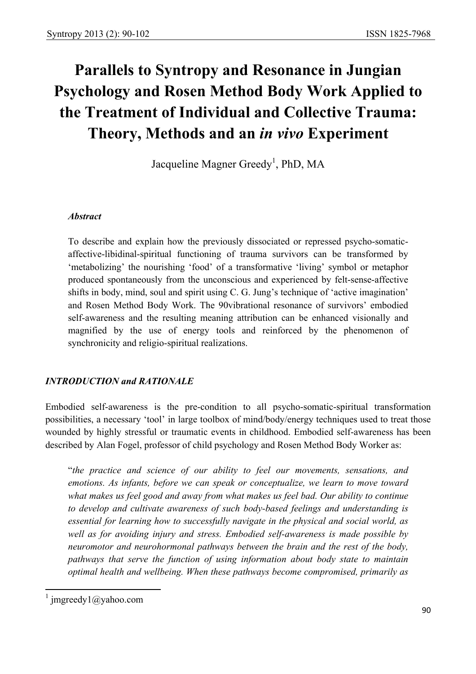# **Parallels to Syntropy and Resonance in Jungian Psychology and Rosen Method Body Work Applied to the Treatment of Individual and Collective Trauma: Theory, Methods and an** *in vivo* **Experiment**

Jacqueline Magner Greedy<sup>1</sup>, PhD, MA

#### *Abstract*

To describe and explain how the previously dissociated or repressed psycho-somaticaffective-libidinal-spiritual functioning of trauma survivors can be transformed by 'metabolizing' the nourishing 'food' of a transformative 'living' symbol or metaphor produced spontaneously from the unconscious and experienced by felt-sense-affective shifts in body, mind, soul and spirit using C. G. Jung's technique of 'active imagination' and Rosen Method Body Work. The 90vibrational resonance of survivors' embodied self-awareness and the resulting meaning attribution can be enhanced visionally and magnified by the use of energy tools and reinforced by the phenomenon of synchronicity and religio-spiritual realizations.

## *INTRODUCTION and RATIONALE*

Embodied self-awareness is the pre-condition to all psycho-somatic-spiritual transformation possibilities, a necessary 'tool' in large toolbox of mind/body/energy techniques used to treat those wounded by highly stressful or traumatic events in childhood. Embodied self-awareness has been described by Alan Fogel, professor of child psychology and Rosen Method Body Worker as:

"*the practice and science of our ability to feel our movements, sensations, and emotions. As infants, before we can speak or conceptualize, we learn to move toward what makes us feel good and away from what makes us feel bad. Our ability to continue to develop and cultivate awareness of such body-based feelings and understanding is essential for learning how to successfully navigate in the physical and social world, as well as for avoiding injury and stress. Embodied self-awareness is made possible by neuromotor and neurohormonal pathways between the brain and the rest of the body, pathways that serve the function of using information about body state to maintain optimal health and wellbeing. When these pathways become compromised, primarily as* 

<sup>&</sup>lt;sup>1</sup> jmgreedy1@yahoo.com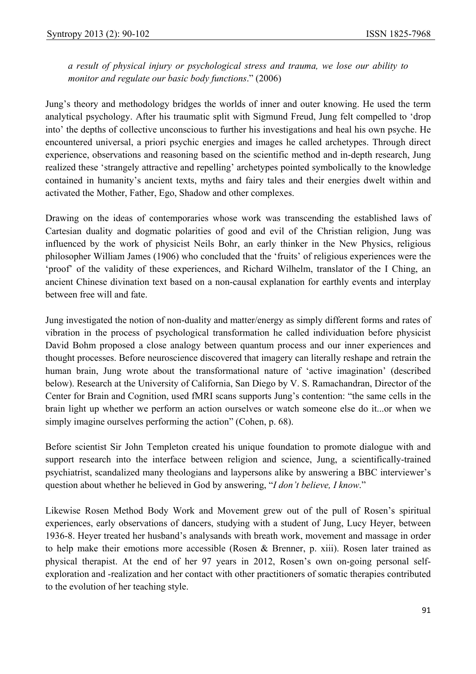*a result of physical injury or psychological stress and trauma, we lose our ability to monitor and regulate our basic body functions*." (2006)

Jung's theory and methodology bridges the worlds of inner and outer knowing. He used the term analytical psychology. After his traumatic split with Sigmund Freud, Jung felt compelled to 'drop into' the depths of collective unconscious to further his investigations and heal his own psyche. He encountered universal, a priori psychic energies and images he called archetypes. Through direct experience, observations and reasoning based on the scientific method and in-depth research, Jung realized these 'strangely attractive and repelling' archetypes pointed symbolically to the knowledge contained in humanity's ancient texts, myths and fairy tales and their energies dwelt within and activated the Mother, Father, Ego, Shadow and other complexes.

Drawing on the ideas of contemporaries whose work was transcending the established laws of Cartesian duality and dogmatic polarities of good and evil of the Christian religion, Jung was influenced by the work of physicist Neils Bohr, an early thinker in the New Physics, religious philosopher William James (1906) who concluded that the 'fruits' of religious experiences were the 'proof' of the validity of these experiences, and Richard Wilhelm, translator of the I Ching, an ancient Chinese divination text based on a non-causal explanation for earthly events and interplay between free will and fate.

Jung investigated the notion of non-duality and matter/energy as simply different forms and rates of vibration in the process of psychological transformation he called individuation before physicist David Bohm proposed a close analogy between quantum process and our inner experiences and thought processes. Before neuroscience discovered that imagery can literally reshape and retrain the human brain, Jung wrote about the transformational nature of 'active imagination' (described below). Research at the University of California, San Diego by V. S. Ramachandran, Director of the Center for Brain and Cognition, used fMRI scans supports Jung's contention: "the same cells in the brain light up whether we perform an action ourselves or watch someone else do it...or when we simply imagine ourselves performing the action" (Cohen, p. 68).

Before scientist Sir John Templeton created his unique foundation to promote dialogue with and support research into the interface between religion and science, Jung, a scientifically-trained psychiatrist, scandalized many theologians and laypersons alike by answering a BBC interviewer's question about whether he believed in God by answering, "*I don't believe, I know*."

Likewise Rosen Method Body Work and Movement grew out of the pull of Rosen's spiritual experiences, early observations of dancers, studying with a student of Jung, Lucy Heyer, between 1936-8. Heyer treated her husband's analysands with breath work, movement and massage in order to help make their emotions more accessible (Rosen & Brenner, p. xiii). Rosen later trained as physical therapist. At the end of her 97 years in 2012, Rosen's own on-going personal selfexploration and -realization and her contact with other practitioners of somatic therapies contributed to the evolution of her teaching style.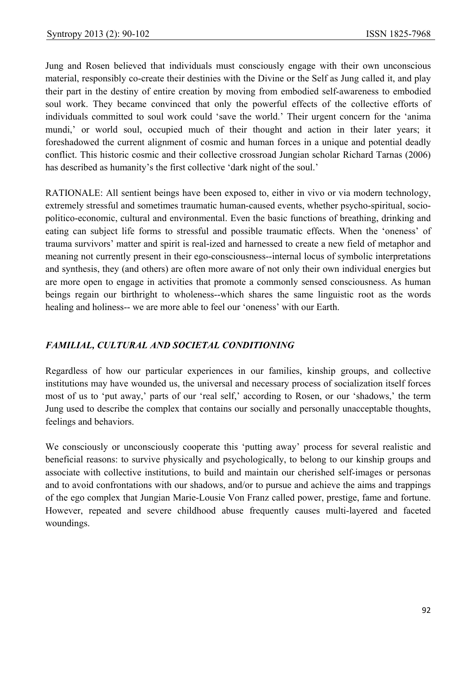Jung and Rosen believed that individuals must consciously engage with their own unconscious material, responsibly co-create their destinies with the Divine or the Self as Jung called it, and play their part in the destiny of entire creation by moving from embodied self-awareness to embodied soul work. They became convinced that only the powerful effects of the collective efforts of individuals committed to soul work could 'save the world.' Their urgent concern for the 'anima mundi,' or world soul, occupied much of their thought and action in their later years; it foreshadowed the current alignment of cosmic and human forces in a unique and potential deadly conflict. This historic cosmic and their collective crossroad Jungian scholar Richard Tarnas (2006) has described as humanity's the first collective 'dark night of the soul.'

RATIONALE: All sentient beings have been exposed to, either in vivo or via modern technology, extremely stressful and sometimes traumatic human-caused events, whether psycho-spiritual, sociopolitico-economic, cultural and environmental. Even the basic functions of breathing, drinking and eating can subject life forms to stressful and possible traumatic effects. When the 'oneness' of trauma survivors' matter and spirit is real-ized and harnessed to create a new field of metaphor and meaning not currently present in their ego-consciousness--internal locus of symbolic interpretations and synthesis, they (and others) are often more aware of not only their own individual energies but are more open to engage in activities that promote a commonly sensed consciousness. As human beings regain our birthright to wholeness--which shares the same linguistic root as the words healing and holiness-- we are more able to feel our 'oneness' with our Earth.

#### *FAMILIAL, CULTURAL AND SOCIETAL CONDITIONING*

Regardless of how our particular experiences in our families, kinship groups, and collective institutions may have wounded us, the universal and necessary process of socialization itself forces most of us to 'put away,' parts of our 'real self,' according to Rosen, or our 'shadows,' the term Jung used to describe the complex that contains our socially and personally unacceptable thoughts, feelings and behaviors.

We consciously or unconsciously cooperate this 'putting away' process for several realistic and beneficial reasons: to survive physically and psychologically, to belong to our kinship groups and associate with collective institutions, to build and maintain our cherished self-images or personas and to avoid confrontations with our shadows, and/or to pursue and achieve the aims and trappings of the ego complex that Jungian Marie-Lousie Von Franz called power, prestige, fame and fortune. However, repeated and severe childhood abuse frequently causes multi-layered and faceted woundings.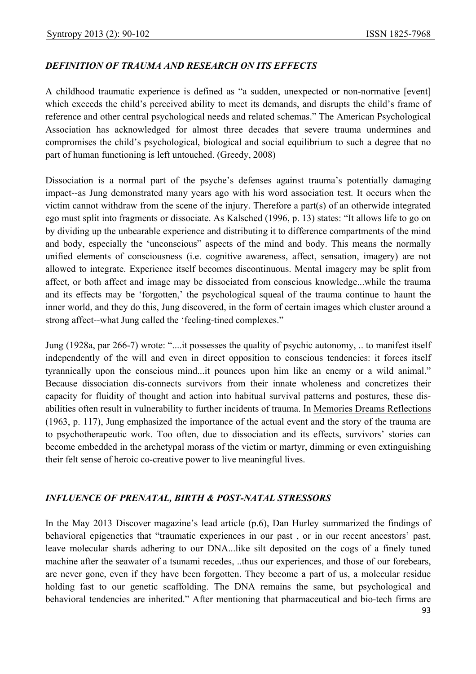#### *DEFINITION OF TRAUMA AND RESEARCH ON ITS EFFECTS*

A childhood traumatic experience is defined as "a sudden, unexpected or non-normative [event] which exceeds the child's perceived ability to meet its demands, and disrupts the child's frame of reference and other central psychological needs and related schemas." The American Psychological Association has acknowledged for almost three decades that severe trauma undermines and compromises the child's psychological, biological and social equilibrium to such a degree that no part of human functioning is left untouched. (Greedy, 2008)

Dissociation is a normal part of the psyche's defenses against trauma's potentially damaging impact--as Jung demonstrated many years ago with his word association test. It occurs when the victim cannot withdraw from the scene of the injury. Therefore a part(s) of an otherwide integrated ego must split into fragments or dissociate. As Kalsched (1996, p. 13) states: "It allows life to go on by dividing up the unbearable experience and distributing it to difference compartments of the mind and body, especially the 'unconscious" aspects of the mind and body. This means the normally unified elements of consciousness (i.e. cognitive awareness, affect, sensation, imagery) are not allowed to integrate. Experience itself becomes discontinuous. Mental imagery may be split from affect, or both affect and image may be dissociated from conscious knowledge...while the trauma and its effects may be 'forgotten,' the psychological squeal of the trauma continue to haunt the inner world, and they do this, Jung discovered, in the form of certain images which cluster around a strong affect--what Jung called the 'feeling-tined complexes."

Jung (1928a, par 266-7) wrote: "....it possesses the quality of psychic autonomy, .. to manifest itself independently of the will and even in direct opposition to conscious tendencies: it forces itself tyrannically upon the conscious mind...it pounces upon him like an enemy or a wild animal." Because dissociation dis-connects survivors from their innate wholeness and concretizes their capacity for fluidity of thought and action into habitual survival patterns and postures, these disabilities often result in vulnerability to further incidents of trauma. In Memories Dreams Reflections (1963, p. 117), Jung emphasized the importance of the actual event and the story of the trauma are to psychotherapeutic work. Too often, due to dissociation and its effects, survivors' stories can become embedded in the archetypal morass of the victim or martyr, dimming or even extinguishing their felt sense of heroic co-creative power to live meaningful lives.

#### *INFLUENCE OF PRENATAL, BIRTH & POST-NATAL STRESSORS*

In the May 2013 Discover magazine's lead article (p.6), Dan Hurley summarized the findings of behavioral epigenetics that "traumatic experiences in our past , or in our recent ancestors' past, leave molecular shards adhering to our DNA...like silt deposited on the cogs of a finely tuned machine after the seawater of a tsunami recedes, ..thus our experiences, and those of our forebears, are never gone, even if they have been forgotten. They become a part of us, a molecular residue holding fast to our genetic scaffolding. The DNA remains the same, but psychological and behavioral tendencies are inherited." After mentioning that pharmaceutical and bio-tech firms are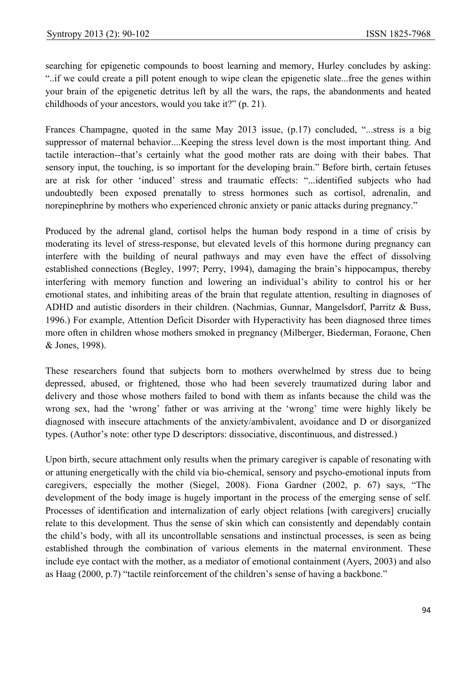searching for epigenetic compounds to boost learning and memory, Hurley concludes by asking: "..if we could create a pill potent enough to wipe clean the epigenetic slate...free the genes within your brain of the epigenetic detritus left by all the wars, the raps, the abandonments and heated childhoods of your ancestors, would you take it?" (p. 21).

Frances Champagne, quoted in the same May 2013 issue, (p.17) concluded, "...stress is a big suppressor of maternal behavior....Keeping the stress level down is the most important thing. And tactile interaction--that's certainly what the good mother rats are doing with their babes. That sensory input, the touching, is so important for the developing brain." Before birth, certain fetuses are at risk for other 'induced' stress and traumatic effects: "...identified subjects who had undoubtedly been exposed prenatally to stress hormones such as cortisol, adrenalin, and norepinephrine by mothers who experienced chronic anxiety or panic attacks during pregnancy."

Produced by the adrenal gland, cortisol helps the human body respond in a time of crisis by moderating its level of stress-response, but elevated levels of this hormone during pregnancy can interfere with the building of neural pathways and may even have the effect of dissolving established connections (Begley, 1997; Perry, 1994), damaging the brain's hippocampus, thereby interfering with memory function and lowering an individual's ability to control his or her emotional states, and inhibiting areas of the brain that regulate attention, resulting in diagnoses of ADHD and autistic disorders in their children. (Nachmias, Gunnar, Mangelsdorf, Parritz & Buss, 1996.) For example, Attention Deficit Disorder with Hyperactivity has been diagnosed three times more often in children whose mothers smoked in pregnancy (Milberger, Biederman, Foraone, Chen & Jones, 1998).

These researchers found that subjects born to mothers overwhelmed by stress due to being depressed, abused, or frightened, those who had been severely traumatized during labor and delivery and those whose mothers failed to bond with them as infants because the child was the wrong sex, had the 'wrong' father or was arriving at the 'wrong' time were highly likely be diagnosed with insecure attachments of the anxiety/ambivalent, avoidance and D or disorganized types. (Author's note: other type D descriptors: dissociative, discontinuous, and distressed.)

Upon birth, secure attachment only results when the primary caregiver is capable of resonating with or attuning energetically with the child via bio-chemical, sensory and psycho-emotional inputs from caregivers, especially the mother (Siegel, 2008). Fiona Gardner (2002, p. 67) says, "The development of the body image is hugely important in the process of the emerging sense of self. Processes of identification and internalization of early object relations [with caregivers] crucially relate to this development. Thus the sense of skin which can consistently and dependably contain the child's body, with all its uncontrollable sensations and instinctual processes, is seen as being established through the combination of various elements in the maternal environment. These include eye contact with the mother, as a mediator of emotional containment (Ayers, 2003) and also as Haag (2000, p.7) "tactile reinforcement of the children's sense of having a backbone."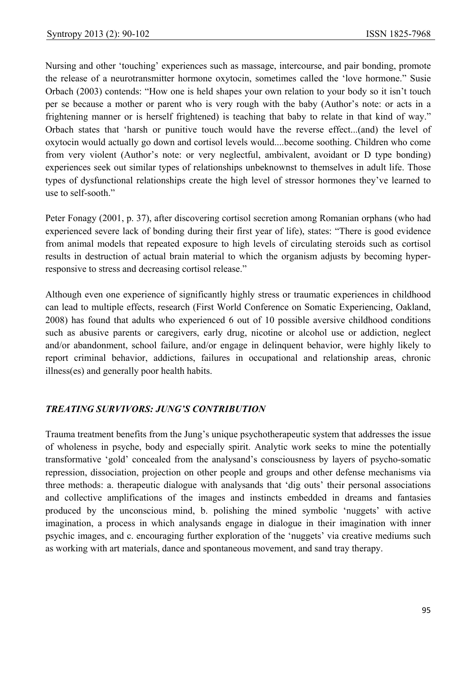Nursing and other 'touching' experiences such as massage, intercourse, and pair bonding, promote the release of a neurotransmitter hormone oxytocin, sometimes called the 'love hormone." Susie Orbach (2003) contends: "How one is held shapes your own relation to your body so it isn't touch per se because a mother or parent who is very rough with the baby (Author's note: or acts in a frightening manner or is herself frightened) is teaching that baby to relate in that kind of way." Orbach states that 'harsh or punitive touch would have the reverse effect...(and) the level of oxytocin would actually go down and cortisol levels would....become soothing. Children who come from very violent (Author's note: or very neglectful, ambivalent, avoidant or D type bonding) experiences seek out similar types of relationships unbeknownst to themselves in adult life. Those types of dysfunctional relationships create the high level of stressor hormones they've learned to use to self-sooth."

Peter Fonagy (2001, p. 37), after discovering cortisol secretion among Romanian orphans (who had experienced severe lack of bonding during their first year of life), states: "There is good evidence from animal models that repeated exposure to high levels of circulating steroids such as cortisol results in destruction of actual brain material to which the organism adjusts by becoming hyperresponsive to stress and decreasing cortisol release."

Although even one experience of significantly highly stress or traumatic experiences in childhood can lead to multiple effects, research (First World Conference on Somatic Experiencing, Oakland, 2008) has found that adults who experienced 6 out of 10 possible aversive childhood conditions such as abusive parents or caregivers, early drug, nicotine or alcohol use or addiction, neglect and/or abandonment, school failure, and/or engage in delinquent behavior, were highly likely to report criminal behavior, addictions, failures in occupational and relationship areas, chronic illness(es) and generally poor health habits.

#### *TREATING SURVIVORS: JUNG'S CONTRIBUTION*

Trauma treatment benefits from the Jung's unique psychotherapeutic system that addresses the issue of wholeness in psyche, body and especially spirit. Analytic work seeks to mine the potentially transformative 'gold' concealed from the analysand's consciousness by layers of psycho-somatic repression, dissociation, projection on other people and groups and other defense mechanisms via three methods: a. therapeutic dialogue with analysands that 'dig outs' their personal associations and collective amplifications of the images and instincts embedded in dreams and fantasies produced by the unconscious mind, b. polishing the mined symbolic 'nuggets' with active imagination, a process in which analysands engage in dialogue in their imagination with inner psychic images, and c. encouraging further exploration of the 'nuggets' via creative mediums such as working with art materials, dance and spontaneous movement, and sand tray therapy.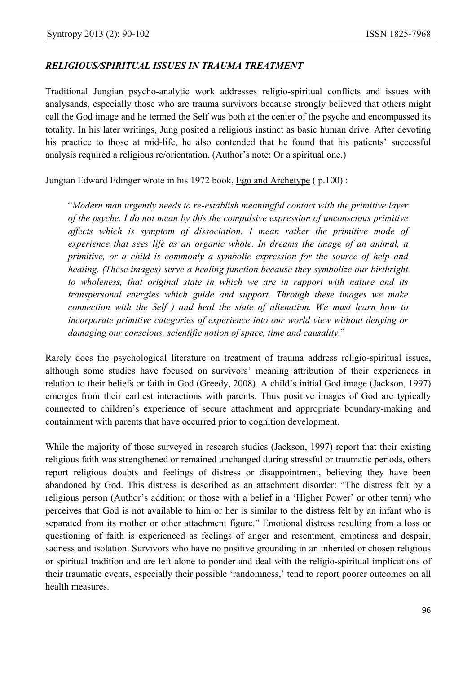#### *RELIGIOUS/SPIRITUAL ISSUES IN TRAUMA TREATMENT*

Traditional Jungian psycho-analytic work addresses religio-spiritual conflicts and issues with analysands, especially those who are trauma survivors because strongly believed that others might call the God image and he termed the Self was both at the center of the psyche and encompassed its totality. In his later writings, Jung posited a religious instinct as basic human drive. After devoting his practice to those at mid-life, he also contended that he found that his patients' successful analysis required a religious re/orientation. (Author's note: Or a spiritual one.)

Jungian Edward Edinger wrote in his 1972 book, Ego and Archetype ( p.100) :

"*Modern man urgently needs to re-establish meaningful contact with the primitive layer of the psyche. I do not mean by this the compulsive expression of unconscious primitive affects which is symptom of dissociation. I mean rather the primitive mode of experience that sees life as an organic whole. In dreams the image of an animal, a primitive, or a child is commonly a symbolic expression for the source of help and healing. (These images) serve a healing function because they symbolize our birthright to wholeness, that original state in which we are in rapport with nature and its transpersonal energies which guide and support. Through these images we make connection with the Self ) and heal the state of alienation. We must learn how to incorporate primitive categories of experience into our world view without denying or damaging our conscious, scientific notion of space, time and causality.*"

Rarely does the psychological literature on treatment of trauma address religio-spiritual issues, although some studies have focused on survivors' meaning attribution of their experiences in relation to their beliefs or faith in God (Greedy, 2008). A child's initial God image (Jackson, 1997) emerges from their earliest interactions with parents. Thus positive images of God are typically connected to children's experience of secure attachment and appropriate boundary-making and containment with parents that have occurred prior to cognition development.

While the majority of those surveyed in research studies (Jackson, 1997) report that their existing religious faith was strengthened or remained unchanged during stressful or traumatic periods, others report religious doubts and feelings of distress or disappointment, believing they have been abandoned by God. This distress is described as an attachment disorder: "The distress felt by a religious person (Author's addition: or those with a belief in a 'Higher Power' or other term) who perceives that God is not available to him or her is similar to the distress felt by an infant who is separated from its mother or other attachment figure." Emotional distress resulting from a loss or questioning of faith is experienced as feelings of anger and resentment, emptiness and despair, sadness and isolation. Survivors who have no positive grounding in an inherited or chosen religious or spiritual tradition and are left alone to ponder and deal with the religio-spiritual implications of their traumatic events, especially their possible 'randomness,' tend to report poorer outcomes on all health measures.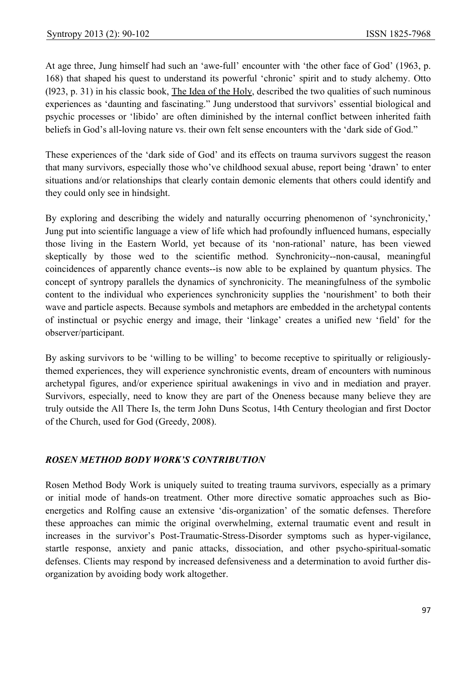At age three, Jung himself had such an 'awe-full' encounter with 'the other face of God' (1963, p. 168) that shaped his quest to understand its powerful 'chronic' spirit and to study alchemy. Otto (l923, p. 31) in his classic book, The Idea of the Holy, described the two qualities of such numinous experiences as 'daunting and fascinating." Jung understood that survivors' essential biological and psychic processes or 'libido' are often diminished by the internal conflict between inherited faith beliefs in God's all-loving nature vs. their own felt sense encounters with the 'dark side of God."

These experiences of the 'dark side of God' and its effects on trauma survivors suggest the reason that many survivors, especially those who've childhood sexual abuse, report being 'drawn' to enter situations and/or relationships that clearly contain demonic elements that others could identify and they could only see in hindsight.

By exploring and describing the widely and naturally occurring phenomenon of 'synchronicity,' Jung put into scientific language a view of life which had profoundly influenced humans, especially those living in the Eastern World, yet because of its 'non-rational' nature, has been viewed skeptically by those wed to the scientific method. Synchronicity--non-causal, meaningful coincidences of apparently chance events--is now able to be explained by quantum physics. The concept of syntropy parallels the dynamics of synchronicity. The meaningfulness of the symbolic content to the individual who experiences synchronicity supplies the 'nourishment' to both their wave and particle aspects. Because symbols and metaphors are embedded in the archetypal contents of instinctual or psychic energy and image, their 'linkage' creates a unified new 'field' for the observer/participant.

By asking survivors to be 'willing to be willing' to become receptive to spiritually or religiouslythemed experiences, they will experience synchronistic events, dream of encounters with numinous archetypal figures, and/or experience spiritual awakenings in vivo and in mediation and prayer. Survivors, especially, need to know they are part of the Oneness because many believe they are truly outside the All There Is, the term John Duns Scotus, 14th Century theologian and first Doctor of the Church, used for God (Greedy, 2008).

## *ROSEN METHOD BODY WORK'S CONTRIBUTION*

Rosen Method Body Work is uniquely suited to treating trauma survivors, especially as a primary or initial mode of hands-on treatment. Other more directive somatic approaches such as Bioenergetics and Rolfing cause an extensive 'dis-organization' of the somatic defenses. Therefore these approaches can mimic the original overwhelming, external traumatic event and result in increases in the survivor's Post-Traumatic-Stress-Disorder symptoms such as hyper-vigilance, startle response, anxiety and panic attacks, dissociation, and other psycho-spiritual-somatic defenses. Clients may respond by increased defensiveness and a determination to avoid further disorganization by avoiding body work altogether.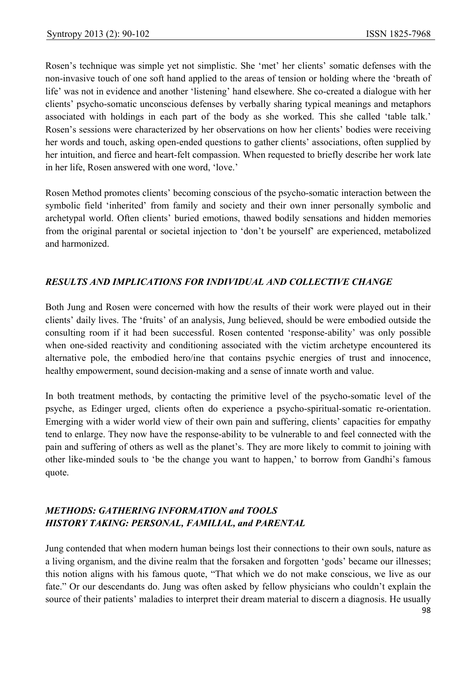Rosen's technique was simple yet not simplistic. She 'met' her clients' somatic defenses with the non-invasive touch of one soft hand applied to the areas of tension or holding where the 'breath of life' was not in evidence and another 'listening' hand elsewhere. She co-created a dialogue with her clients' psycho-somatic unconscious defenses by verbally sharing typical meanings and metaphors associated with holdings in each part of the body as she worked. This she called 'table talk.' Rosen's sessions were characterized by her observations on how her clients' bodies were receiving her words and touch, asking open-ended questions to gather clients' associations, often supplied by her intuition, and fierce and heart-felt compassion. When requested to briefly describe her work late in her life, Rosen answered with one word, 'love.'

Rosen Method promotes clients' becoming conscious of the psycho-somatic interaction between the symbolic field 'inherited' from family and society and their own inner personally symbolic and archetypal world. Often clients' buried emotions, thawed bodily sensations and hidden memories from the original parental or societal injection to 'don't be yourself' are experienced, metabolized and harmonized.

## *RESULTS AND IMPLICATIONS FOR INDIVIDUAL AND COLLECTIVE CHANGE*

Both Jung and Rosen were concerned with how the results of their work were played out in their clients' daily lives. The 'fruits' of an analysis, Jung believed, should be were embodied outside the consulting room if it had been successful. Rosen contented 'response-ability' was only possible when one-sided reactivity and conditioning associated with the victim archetype encountered its alternative pole, the embodied hero/ine that contains psychic energies of trust and innocence, healthy empowerment, sound decision-making and a sense of innate worth and value.

In both treatment methods, by contacting the primitive level of the psycho-somatic level of the psyche, as Edinger urged, clients often do experience a psycho-spiritual-somatic re-orientation. Emerging with a wider world view of their own pain and suffering, clients' capacities for empathy tend to enlarge. They now have the response-ability to be vulnerable to and feel connected with the pain and suffering of others as well as the planet's. They are more likely to commit to joining with other like-minded souls to 'be the change you want to happen,' to borrow from Gandhi's famous quote.

# *METHODS: GATHERING INFORMATION and TOOLS HISTORY TAKING: PERSONAL, FAMILIAL, and PARENTAL*

Jung contended that when modern human beings lost their connections to their own souls, nature as a living organism, and the divine realm that the forsaken and forgotten 'gods' became our illnesses; this notion aligns with his famous quote, "That which we do not make conscious, we live as our fate." Or our descendants do. Jung was often asked by fellow physicians who couldn't explain the source of their patients' maladies to interpret their dream material to discern a diagnosis. He usually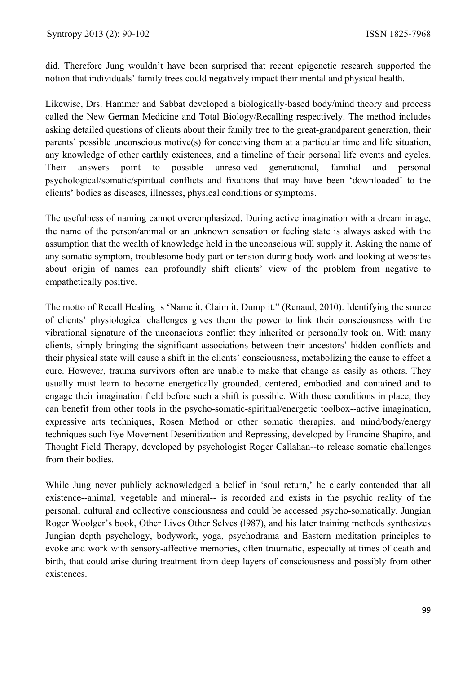did. Therefore Jung wouldn't have been surprised that recent epigenetic research supported the notion that individuals' family trees could negatively impact their mental and physical health.

Likewise, Drs. Hammer and Sabbat developed a biologically-based body/mind theory and process called the New German Medicine and Total Biology/Recalling respectively. The method includes asking detailed questions of clients about their family tree to the great-grandparent generation, their parents' possible unconscious motive(s) for conceiving them at a particular time and life situation, any knowledge of other earthly existences, and a timeline of their personal life events and cycles. Their answers point to possible unresolved generational, familial and personal psychological/somatic/spiritual conflicts and fixations that may have been 'downloaded' to the clients' bodies as diseases, illnesses, physical conditions or symptoms.

The usefulness of naming cannot overemphasized. During active imagination with a dream image, the name of the person/animal or an unknown sensation or feeling state is always asked with the assumption that the wealth of knowledge held in the unconscious will supply it. Asking the name of any somatic symptom, troublesome body part or tension during body work and looking at websites about origin of names can profoundly shift clients' view of the problem from negative to empathetically positive.

The motto of Recall Healing is 'Name it, Claim it, Dump it." (Renaud, 2010). Identifying the source of clients' physiological challenges gives them the power to link their consciousness with the vibrational signature of the unconscious conflict they inherited or personally took on. With many clients, simply bringing the significant associations between their ancestors' hidden conflicts and their physical state will cause a shift in the clients' consciousness, metabolizing the cause to effect a cure. However, trauma survivors often are unable to make that change as easily as others. They usually must learn to become energetically grounded, centered, embodied and contained and to engage their imagination field before such a shift is possible. With those conditions in place, they can benefit from other tools in the psycho-somatic-spiritual/energetic toolbox--active imagination, expressive arts techniques, Rosen Method or other somatic therapies, and mind/body/energy techniques such Eye Movement Desenitization and Repressing, developed by Francine Shapiro, and Thought Field Therapy, developed by psychologist Roger Callahan--to release somatic challenges from their bodies.

While Jung never publicly acknowledged a belief in 'soul return,' he clearly contended that all existence--animal, vegetable and mineral-- is recorded and exists in the psychic reality of the personal, cultural and collective consciousness and could be accessed psycho-somatically. Jungian Roger Woolger's book, Other Lives Other Selves (l987), and his later training methods synthesizes Jungian depth psychology, bodywork, yoga, psychodrama and Eastern meditation principles to evoke and work with sensory-affective memories, often traumatic, especially at times of death and birth, that could arise during treatment from deep layers of consciousness and possibly from other existences.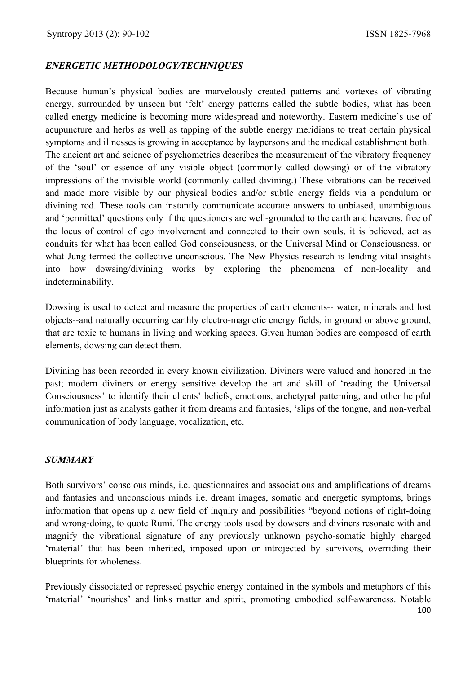#### *ENERGETIC METHODOLOGY/TECHNIQUES*

Because human's physical bodies are marvelously created patterns and vortexes of vibrating energy, surrounded by unseen but 'felt' energy patterns called the subtle bodies, what has been called energy medicine is becoming more widespread and noteworthy. Eastern medicine's use of acupuncture and herbs as well as tapping of the subtle energy meridians to treat certain physical symptoms and illnesses is growing in acceptance by laypersons and the medical establishment both. The ancient art and science of psychometrics describes the measurement of the vibratory frequency of the 'soul' or essence of any visible object (commonly called dowsing) or of the vibratory impressions of the invisible world (commonly called divining.) These vibrations can be received and made more visible by our physical bodies and/or subtle energy fields via a pendulum or divining rod. These tools can instantly communicate accurate answers to unbiased, unambiguous and 'permitted' questions only if the questioners are well-grounded to the earth and heavens, free of the locus of control of ego involvement and connected to their own souls, it is believed, act as conduits for what has been called God consciousness, or the Universal Mind or Consciousness, or what Jung termed the collective unconscious. The New Physics research is lending vital insights into how dowsing/divining works by exploring the phenomena of non-locality and indeterminability.

Dowsing is used to detect and measure the properties of earth elements-- water, minerals and lost objects--and naturally occurring earthly electro-magnetic energy fields, in ground or above ground, that are toxic to humans in living and working spaces. Given human bodies are composed of earth elements, dowsing can detect them.

Divining has been recorded in every known civilization. Diviners were valued and honored in the past; modern diviners or energy sensitive develop the art and skill of 'reading the Universal Consciousness' to identify their clients' beliefs, emotions, archetypal patterning, and other helpful information just as analysts gather it from dreams and fantasies, 'slips of the tongue, and non-verbal communication of body language, vocalization, etc.

#### *SUMMARY*

Both survivors' conscious minds, i.e. questionnaires and associations and amplifications of dreams and fantasies and unconscious minds i.e. dream images, somatic and energetic symptoms, brings information that opens up a new field of inquiry and possibilities "beyond notions of right-doing and wrong-doing, to quote Rumi. The energy tools used by dowsers and diviners resonate with and magnify the vibrational signature of any previously unknown psycho-somatic highly charged 'material' that has been inherited, imposed upon or introjected by survivors, overriding their blueprints for wholeness.

Previously dissociated or repressed psychic energy contained in the symbols and metaphors of this 'material' 'nourishes' and links matter and spirit, promoting embodied self-awareness. Notable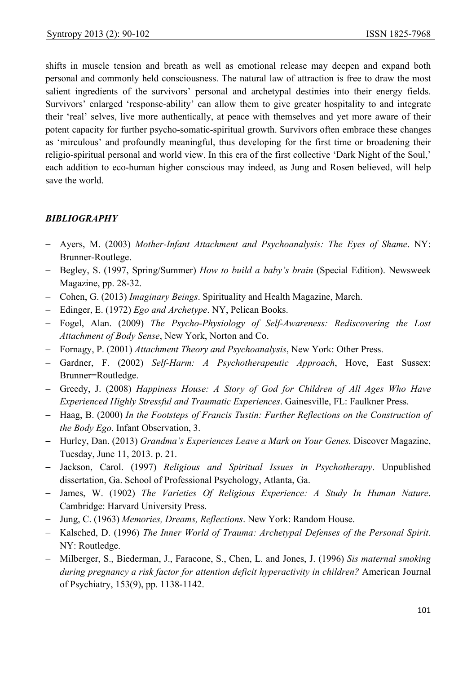shifts in muscle tension and breath as well as emotional release may deepen and expand both personal and commonly held consciousness. The natural law of attraction is free to draw the most salient ingredients of the survivors' personal and archetypal destinies into their energy fields. Survivors' enlarged 'response-ability' can allow them to give greater hospitality to and integrate their 'real' selves, live more authentically, at peace with themselves and yet more aware of their potent capacity for further psycho-somatic-spiritual growth. Survivors often embrace these changes as 'mirculous' and profoundly meaningful, thus developing for the first time or broadening their religio-spiritual personal and world view. In this era of the first collective 'Dark Night of the Soul,' each addition to eco-human higher conscious may indeed, as Jung and Rosen believed, will help save the world.

#### *BIBLIOGRAPHY*

- − Ayers, M. (2003) *Mother-Infant Attachment and Psychoanalysis: The Eyes of Shame*. NY: Brunner-Routlege.
- − Begley, S. (1997, Spring/Summer) *How to build a baby's brain* (Special Edition). Newsweek Magazine, pp. 28-32.
- − Cohen, G. (2013) *Imaginary Beings*. Spirituality and Health Magazine, March.
- − Edinger, E. (1972) *Ego and Archetype*. NY, Pelican Books.
- − Fogel, Alan. (2009) *The Psycho-Physiology of Self-Awareness: Rediscovering the Lost Attachment of Body Sense*, New York, Norton and Co.
- − Fornagy, P. (2001) *Attachment Theory and Psychoanalysis*, New York: Other Press.
- − Gardner, F. (2002) *Self-Harm: A Psychotherapeutic Approach*, Hove, East Sussex: Brunner=Routledge.
- − Greedy, J. (2008) *Happiness House: A Story of God for Children of All Ages Who Have Experienced Highly Stressful and Traumatic Experiences*. Gainesville, FL: Faulkner Press.
- − Haag, B. (2000) *In the Footsteps of Francis Tustin: Further Reflections on the Construction of the Body Ego*. Infant Observation, 3.
- − Hurley, Dan. (2013) *Grandma's Experiences Leave a Mark on Your Genes*. Discover Magazine, Tuesday, June 11, 2013. p. 21.
- − Jackson, Carol. (1997) *Religious and Spiritual Issues in Psychotherapy*. Unpublished dissertation, Ga. School of Professional Psychology, Atlanta, Ga.
- − James, W. (1902) *The Varieties Of Religious Experience: A Study In Human Nature*. Cambridge: Harvard University Press.
- − Jung, C. (1963) *Memories, Dreams, Reflections*. New York: Random House.
- − Kalsched, D. (1996) *The Inner World of Trauma: Archetypal Defenses of the Personal Spirit*. NY: Routledge.
- − Milberger, S., Biederman, J., Faracone, S., Chen, L. and Jones, J. (1996) *Sis maternal smoking during pregnancy a risk factor for attention deficit hyperactivity in children?* American Journal of Psychiatry, 153(9), pp. 1138-1142.